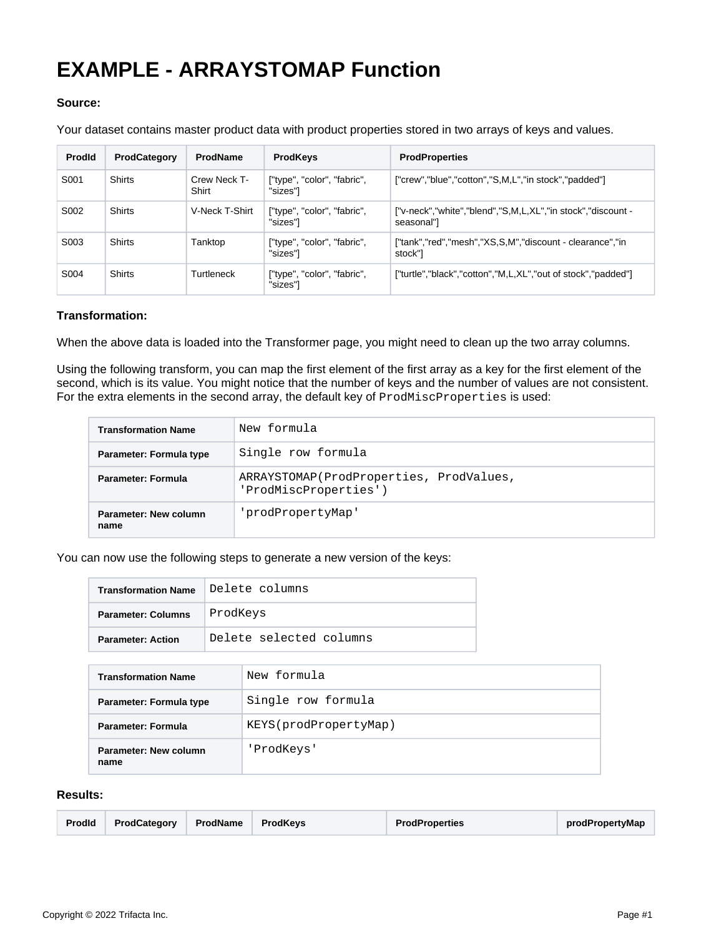## **EXAMPLE - ARRAYSTOMAP Function**

## **Source:**

Your dataset contains master product data with product properties stored in two arrays of keys and values.

| <b>Prodld</b> | ProdCategory  | <b>ProdName</b>       | <b>ProdKeys</b>                         | <b>ProdProperties</b>                                                     |
|---------------|---------------|-----------------------|-----------------------------------------|---------------------------------------------------------------------------|
| S001          | <b>Shirts</b> | Crew Neck T-<br>Shirt | ["type", "color", "fabric",<br>"sizes"] | ["crew","blue","cotton","S,M,L","in stock","padded"]                      |
| S002          | <b>Shirts</b> | V-Neck T-Shirt        | ["type", "color", "fabric",<br>"sizes"] | ["v-neck","white","blend","S,M,L,XL","in stock","discount -<br>seasonal"] |
| S003          | <b>Shirts</b> | Tanktop               | ["type", "color", "fabric",<br>"sizes"l | ["tank","red","mesh","XS,S,M","discount - clearance","in<br>stock"]       |
| S004          | <b>Shirts</b> | Turtleneck            | ["type", "color", "fabric",<br>"sizes"l | ["turtle","black","cotton","M,L,XL","out of stock","padded"]              |

## **Transformation:**

When the above data is loaded into the Transformer page, you might need to clean up the two array columns.

Using the following transform, you can map the first element of the first array as a key for the first element of the second, which is its value. You might notice that the number of keys and the number of values are not consistent. For the extra elements in the second array, the default key of ProdMiscProperties is used:

| <b>Transformation Name</b>    | New formula                                                      |
|-------------------------------|------------------------------------------------------------------|
| Parameter: Formula type       | Single row formula                                               |
| Parameter: Formula            | ARRAYSTOMAP(ProdProperties, ProdValues,<br>'ProdMiscProperties') |
| Parameter: New column<br>name | 'prodPropertyMap'                                                |

You can now use the following steps to generate a new version of the keys:

| <b>Transformation Name</b> | Delete columns          |  |
|----------------------------|-------------------------|--|
| <b>Parameter: Columns</b>  | ProdKeys                |  |
| <b>Parameter: Action</b>   | Delete selected columns |  |

| <b>Transformation Name</b>    | New formula           |
|-------------------------------|-----------------------|
| Parameter: Formula type       | Single row formula    |
| <b>Parameter: Formula</b>     | KEYS(prodPropertyMap) |
| Parameter: New column<br>name | 'ProdKeys'            |

## **Results:**

| Prodid | ProdCategory | ProdName | <b>ProdKeys</b> | <b>ProdProperties</b> | prodPropertyMap |
|--------|--------------|----------|-----------------|-----------------------|-----------------|
|--------|--------------|----------|-----------------|-----------------------|-----------------|